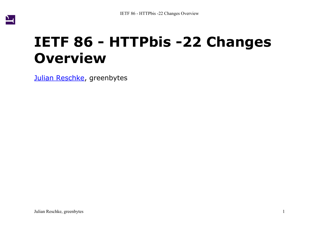

# **IETF 86 - HTTPbis -22 Changes Overview**

[Julian Reschke](mailto:julian.reschke@greenbytes.de), greenbytes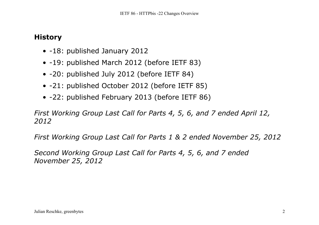## **History**

- -18: published January 2012
- -19: published March 2012 (before IETF 83)
- -20: published July 2012 (before IETF 84)
- -21: published October 2012 (before IETF 85)
- -22: published February 2013 (before IETF 86)

*First Working Group Last Call for Parts 4, 5, 6, and 7 ended April 12, 2012*

*First Working Group Last Call for Parts 1 & 2 ended November 25, 2012*

*Second Working Group Last Call for Parts 4, 5, 6, and 7 ended November 25, 2012*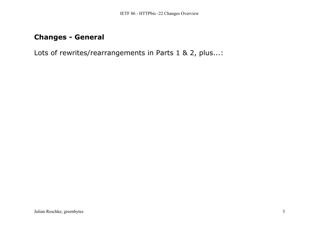# **Changes - General**

Lots of rewrites/rearrangements in Parts 1 & 2, plus...: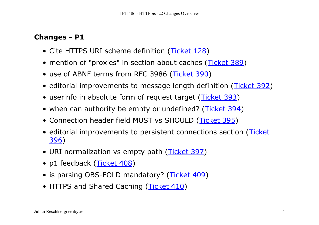- Cite HTTPS URI scheme definition ([Ticket 128](http://tools.ietf.org/wg/httpbis/trac/ticket/128))
- mention of "proxies" in section about caches ([Ticket 389](http://tools.ietf.org/wg/httpbis/trac/ticket/389))
- use of ABNF terms from RFC 3986 (<u>[Ticket 390](http://tools.ietf.org/wg/httpbis/trac/ticket/390)</u>)
- editorial improvements to message length definition ([Ticket 392](http://tools.ietf.org/wg/httpbis/trac/ticket/392))
- userinfo in absolute form of request target ([Ticket 393](http://tools.ietf.org/wg/httpbis/trac/ticket/393))
- when can authority be empty or undefined? ([Ticket 394](http://tools.ietf.org/wg/httpbis/trac/ticket/394))
- Connection header field MUST vs SHOULD ([Ticket 395](http://tools.ietf.org/wg/httpbis/trac/ticket/395))
- editorial improvements to persistent connections section ([Ticket](http://tools.ietf.org/wg/httpbis/trac/ticket/396) <u>[396](http://tools.ietf.org/wg/httpbis/trac/ticket/396))</u>
- URI normalization vs empty path ([Ticket 397](http://tools.ietf.org/wg/httpbis/trac/ticket/397))
- p1 feedback (<u>[Ticket 408](http://tools.ietf.org/wg/httpbis/trac/ticket/408)</u>)
- is parsing OBS-FOLD mandatory? ([Ticket 409](http://tools.ietf.org/wg/httpbis/trac/ticket/409))
- HTTPS and Shared Caching ([Ticket 410](http://tools.ietf.org/wg/httpbis/trac/ticket/410))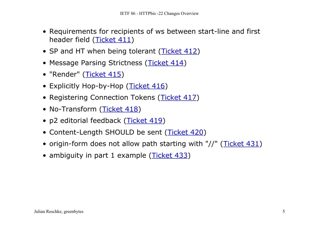- Requirements for recipients of ws between start-line and first header field (<u>[Ticket 411](http://tools.ietf.org/wg/httpbis/trac/ticket/411)</u>)
- SP and HT when being tolerant ([Ticket 412](http://tools.ietf.org/wg/httpbis/trac/ticket/412))
- Message Parsing Strictness ([Ticket 414](http://tools.ietf.org/wg/httpbis/trac/ticket/414))
- "Render" (<u>[Ticket 415](http://tools.ietf.org/wg/httpbis/trac/ticket/415)</u>)
- Explicitly Hop-by-Hop (<u>[Ticket 416](http://tools.ietf.org/wg/httpbis/trac/ticket/416)</u>)
- Registering Connection Tokens ([Ticket 417](http://tools.ietf.org/wg/httpbis/trac/ticket/417))
- No-Transform ([Ticket 418](http://tools.ietf.org/wg/httpbis/trac/ticket/418))
- p2 editorial feedback ([Ticket 419](http://tools.ietf.org/wg/httpbis/trac/ticket/419))
- Content-Length SHOULD be sent ([Ticket 420](http://tools.ietf.org/wg/httpbis/trac/ticket/420))
- origin-form does not allow path starting with "//" ([Ticket 431](http://tools.ietf.org/wg/httpbis/trac/ticket/431))
- ambiguity in part 1 example ([Ticket 433](http://tools.ietf.org/wg/httpbis/trac/ticket/433))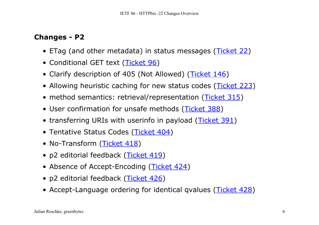- ETag (and other metadata) in status messages ([Ticket 22](http://tools.ietf.org/wg/httpbis/trac/ticket/22))
- Conditional GET text ([Ticket 96](http://tools.ietf.org/wg/httpbis/trac/ticket/96))
- Clarify description of 405 (Not Allowed) ([Ticket 146](http://tools.ietf.org/wg/httpbis/trac/ticket/146))
- Allowing heuristic caching for new status codes ([Ticket 223](http://tools.ietf.org/wg/httpbis/trac/ticket/223))
- method semantics: retrieval/representation ([Ticket 315](http://tools.ietf.org/wg/httpbis/trac/ticket/315))
- User confirmation for unsafe methods ([Ticket 388](http://tools.ietf.org/wg/httpbis/trac/ticket/388))
- transferring URIs with userinfo in payload ([Ticket 391](http://tools.ietf.org/wg/httpbis/trac/ticket/391))
- Tentative Status Codes ([Ticket 404](http://tools.ietf.org/wg/httpbis/trac/ticket/404))
- No-Transform (<u>[Ticket 418](http://tools.ietf.org/wg/httpbis/trac/ticket/418)</u>)
- p2 editorial feedback ([Ticket 419](http://tools.ietf.org/wg/httpbis/trac/ticket/419))
- Absence of Accept-Encoding ([Ticket 424](http://tools.ietf.org/wg/httpbis/trac/ticket/424))
- p2 editorial feedback ([Ticket 426](http://tools.ietf.org/wg/httpbis/trac/ticket/426))
- Accept-Language ordering for identical qvalues ([Ticket 428](http://tools.ietf.org/wg/httpbis/trac/ticket/428))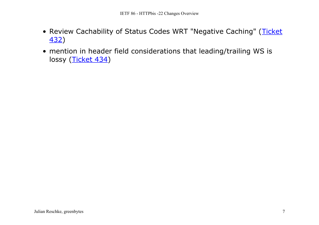- Review Cachability of Status Codes WRT "Negative Caching" ([Ticket](http://tools.ietf.org/wg/httpbis/trac/ticket/432) <u>[432](http://tools.ietf.org/wg/httpbis/trac/ticket/432))</u>
- mention in header field considerations that leading/trailing WS is lossy (<u>[Ticket 434](http://tools.ietf.org/wg/httpbis/trac/ticket/434)</u>)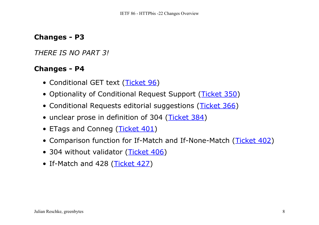*THERE IS NO PART 3!*

- Conditional GET text ([Ticket 96](http://tools.ietf.org/wg/httpbis/trac/ticket/96))
- Optionality of Conditional Request Support ([Ticket 350](http://tools.ietf.org/wg/httpbis/trac/ticket/350))
- Conditional Requests editorial suggestions ([Ticket 366](http://tools.ietf.org/wg/httpbis/trac/ticket/366))
- unclear prose in definition of 304 ([Ticket 384](http://tools.ietf.org/wg/httpbis/trac/ticket/384))
- ETags and Conneg ([Ticket 401](http://tools.ietf.org/wg/httpbis/trac/ticket/401))
- Comparison function for If-Match and If-None-Match ([Ticket 402](http://tools.ietf.org/wg/httpbis/trac/ticket/402))
- 304 without validator ([Ticket 406](http://tools.ietf.org/wg/httpbis/trac/ticket/406))
- If-Match and 428 ([Ticket 427](http://tools.ietf.org/wg/httpbis/trac/ticket/427))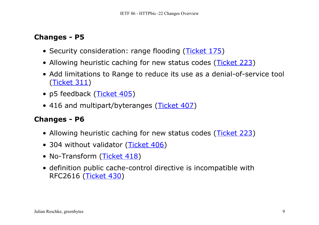- Security consideration: range flooding ([Ticket 175](http://tools.ietf.org/wg/httpbis/trac/ticket/175))
- Allowing heuristic caching for new status codes ([Ticket 223](http://tools.ietf.org/wg/httpbis/trac/ticket/223))
- Add limitations to Range to reduce its use as a denial-of-service tool <u>([Ticket 311](http://tools.ietf.org/wg/httpbis/trac/ticket/311))</u>
- p5 feedback (<u>[Ticket 405](http://tools.ietf.org/wg/httpbis/trac/ticket/405)</u>)
- 416 and multipart/byteranges ([Ticket 407](http://tools.ietf.org/wg/httpbis/trac/ticket/407))

- Allowing heuristic caching for new status codes ([Ticket 223](http://tools.ietf.org/wg/httpbis/trac/ticket/223))
- 304 without validator ([Ticket 406](http://tools.ietf.org/wg/httpbis/trac/ticket/406))
- No-Transform (<u>[Ticket 418](http://tools.ietf.org/wg/httpbis/trac/ticket/418)</u>)
- definition public cache-control directive is incompatible with RFC2616 (<u>[Ticket 430](http://tools.ietf.org/wg/httpbis/trac/ticket/430)</u>)